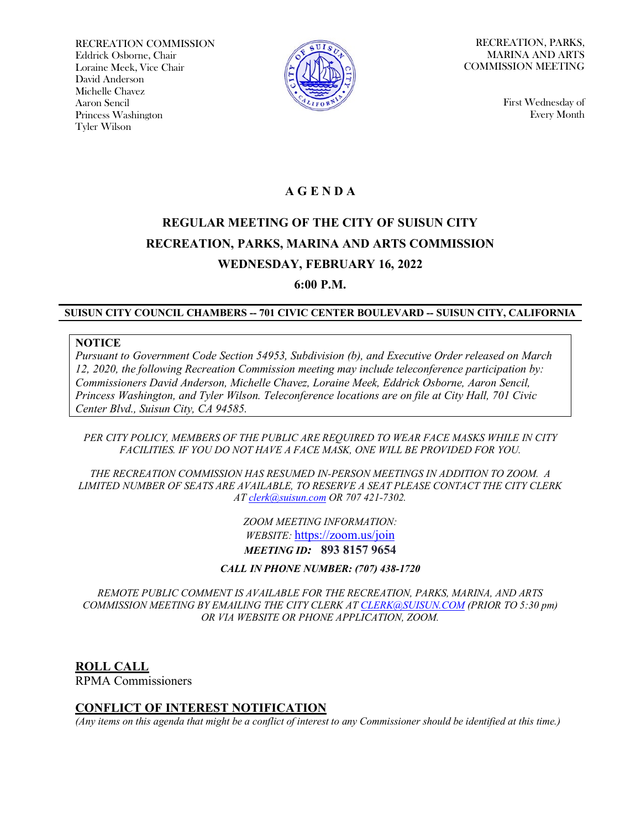RECREATION COMMISSION Eddrick Osborne, Chair Loraine Meek, Vice Chair David Anderson Michelle Chavez Aaron Sencil Princess Washington Tyler Wilson



RECREATION, PARKS, MARINA AND ARTS COMMISSION MEETING

> First Wednesday of Every Month

## **A G E N D A**

# **REGULAR MEETING OF THE CITY OF SUISUN CITY RECREATION, PARKS, MARINA AND ARTS COMMISSION WEDNESDAY, FEBRUARY 16, 2022**

**6:00 P.M.**

#### **SUISUN CITY COUNCIL CHAMBERS -- 701 CIVIC CENTER BOULEVARD -- SUISUN CITY, CALIFORNIA**

#### **NOTICE**

*Pursuant to Government Code Section 54953, Subdivision (b), and Executive Order released on March 12, 2020, the following Recreation Commission meeting may include teleconference participation by: Commissioners David Anderson, Michelle Chavez, Loraine Meek, Eddrick Osborne, Aaron Sencil, Princess Washington, and Tyler Wilson. Teleconference locations are on file at City Hall, 701 Civic Center Blvd., Suisun City, CA 94585.*

#### *PER CITY POLICY, MEMBERS OF THE PUBLIC ARE REQUIRED TO WEAR FACE MASKS WHILE IN CITY FACILITIES. IF YOU DO NOT HAVE A FACE MASK, ONE WILL BE PROVIDED FOR YOU.*

*THE RECREATION COMMISSION HAS RESUMED IN-PERSON MEETINGS IN ADDITION TO ZOOM. A LIMITED NUMBER OF SEATS ARE AVAILABLE, TO RESERVE A SEAT PLEASE CONTACT THE CITY CLERK AT [clerk@suisun.com](mailto:clerk@suisun.com) OR 707 421-7302.* 

> *ZOOM MEETING INFORMATION: WEBSITE:* <https://zoom.us/join> *MEETING ID:* **893 8157 9654**

*CALL IN PHONE NUMBER: (707) 438-1720*

*REMOTE PUBLIC COMMENT IS AVAILABLE FOR THE RECREATION, PARKS, MARINA, AND ARTS COMMISSION MEETING BY EMAILING THE CITY CLERK A[T CLERK@SUISUN.COM](mailto:CLERK@SUISUN.COM) (PRIOR TO 5:30 pm) OR VIA WEBSITE OR PHONE APPLICATION, ZOOM.*

**ROLL CALL** RPMA Commissioners

#### **CONFLICT OF INTEREST NOTIFICATION**

*(Any items on this agenda that might be a conflict of interest to any Commissioner should be identified at this time.)*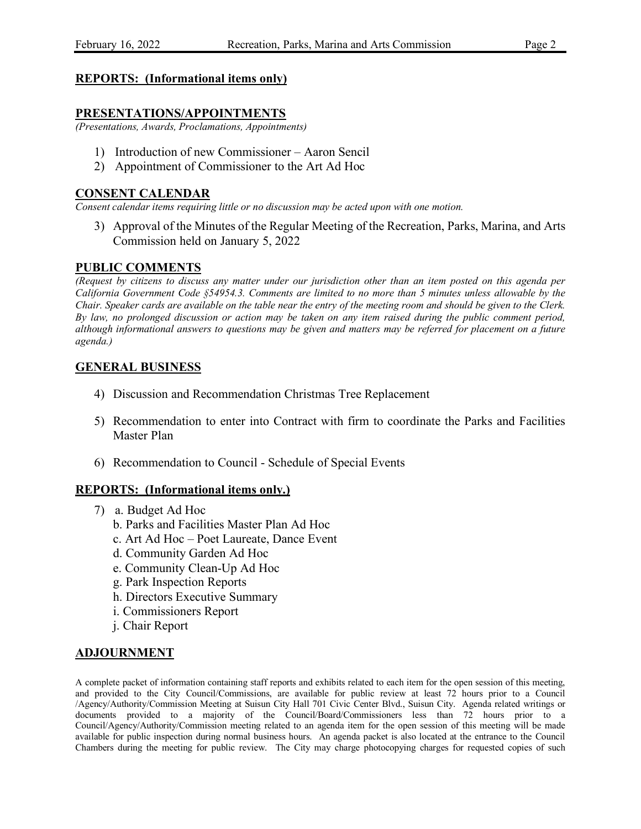### **REPORTS: (Informational items only)**

### **PRESENTATIONS/APPOINTMENTS**

*(Presentations, Awards, Proclamations, Appointments)*

- 1) Introduction of new Commissioner Aaron Sencil
- 2) Appointment of Commissioner to the Art Ad Hoc

#### **CONSENT CALENDAR**

*Consent calendar items requiring little or no discussion may be acted upon with one motion.*

3) Approval of the Minutes of the Regular Meeting of the Recreation, Parks, Marina, and Arts Commission held on January 5, 2022

## **PUBLIC COMMENTS**

*(Request by citizens to discuss any matter under our jurisdiction other than an item posted on this agenda per California Government Code §54954.3. Comments are limited to no more than 5 minutes unless allowable by the Chair. Speaker cards are available on the table near the entry of the meeting room and should be given to the Clerk. By law, no prolonged discussion or action may be taken on any item raised during the public comment period, although informational answers to questions may be given and matters may be referred for placement on a future agenda.)*

## **GENERAL BUSINESS**

- 4) Discussion and Recommendation Christmas Tree Replacement
- 5) Recommendation to enter into Contract with firm to coordinate the Parks and Facilities Master Plan
- 6) Recommendation to Council Schedule of Special Events

#### **REPORTS: (Informational items only.)**

- 7) a. Budget Ad Hoc
	- b. Parks and Facilities Master Plan Ad Hoc
	- c. Art Ad Hoc Poet Laureate, Dance Event
	- d. Community Garden Ad Hoc
	- e. Community Clean-Up Ad Hoc
	- g. Park Inspection Reports
	- h. Directors Executive Summary
	- i. Commissioners Report
	- j. Chair Report

#### **ADJOURNMENT**

A complete packet of information containing staff reports and exhibits related to each item for the open session of this meeting, and provided to the City Council/Commissions, are available for public review at least 72 hours prior to a Council /Agency/Authority/Commission Meeting at Suisun City Hall 701 Civic Center Blvd., Suisun City. Agenda related writings or documents provided to a majority of the Council/Board/Commissioners less than 72 hours prior to a Council/Agency/Authority/Commission meeting related to an agenda item for the open session of this meeting will be made available for public inspection during normal business hours. An agenda packet is also located at the entrance to the Council Chambers during the meeting for public review. The City may charge photocopying charges for requested copies of such